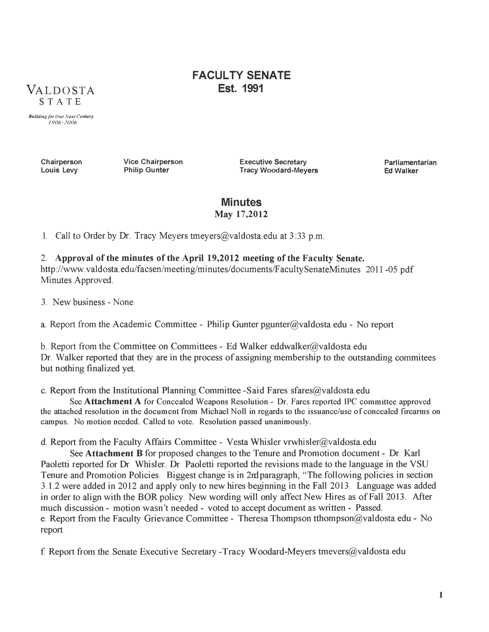# $VALOOSTA$ **STATE**

# **FACULTY SENATE Est. 1991**

*Building for Our Next Century 1906 -2006*

> **Chairperson Louis Levy**

**Vice Chairperson Philip Gunter**

**Executive Secretary Tracy Woodard-Meyers** **Parliamentarian Ed Walker**

#### **Minutes May 17,2012**

1. Call to Order by Dr. Tracy Meyers tmeyers  $\omega$  valdosta edu at 3:33 p.m.

## 2. **Approval of the minutes of the April 19,2012 meeting of the Faculty Senate.** <http://www.valdosta.edu/facsen/meeting/minutes/documents/FacultySenateMinutes> 2011 -05.pdf Minutes Approved.

3. New business - None

a. Report from the Academic Committee - Philip Gunter pgunter $@$ valdosta edu - No report

b. Report from the Committee on Committees - Ed Walker [eddwalker@valdosta.edu](mailto:eddwalker@valdosta.edu) Dr. Walker reported that they are in the process of assigning membership to the outstanding commitees but nothing finalized yet.

c. Report from the Institutional Planning Committee -Said Fares [sfares@valdosta.edu](mailto:sfares@valdosta.edu)

See **Attachment A** for Concealed Weapons Resolution - Dr. Fares reported IPC committee approved the attached resolution in the document from Michael Noll in regards to the issuance/use of concealed firearms on campus. No motion needed. Called to vote. Resolution passed unanimously.

d. Report from the Faculty Affairs Committee - Vesta Whisler vrwhisler@valdosta.edu

See **Attachment B** for proposed changes to the Tenure and Promotion document - Dr. Karl Paoletti reported for Dr. Whisler. Dr. Paoletti reported the revisions made to the language in the VSU Tenure and Promotion Policies. Biggest change is in 2ndparagraph, "The following policies in section 3.1.2 were added in 2012 and apply only to new hires beginning in the Fall 2013. Language was added in order to align with the BOR policy. New wording will only affect New Hires as of Fall 2013. After much discussion - motion wasn't needed - voted to accept document as written - Passed. e. Report from the Faculty Grievance Committee - Theresa Thompson [tthompson@valdosta.edu](mailto:tthompson@valdosta.edu) - No report.

f. Report from the Senate Executive Secretary -Tracy Woodard-Meyers [tmevers@valdosta.edu](mailto:tmevers@valdosta.edu)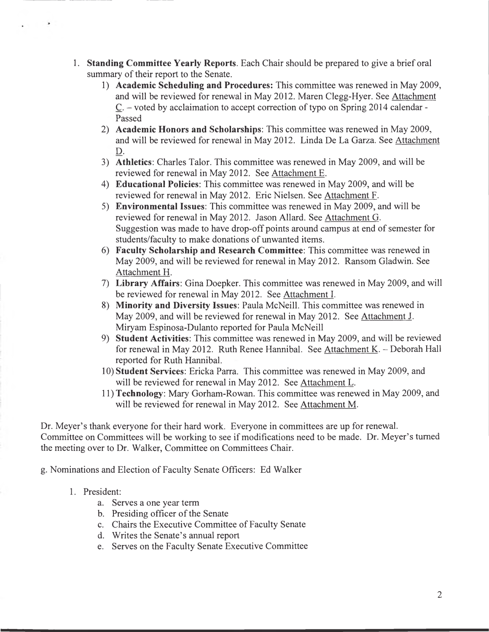- **1. Standing Committee Yearly Reports.** Each Chair should be prepared to give a brief oral summary of their report to the Senate.
	- 1) **Academic Scheduling and Procedures:** This committee was renewed in May 2009, and will be reviewed for renewal in May 2012. Maren Clegg-Hyer. See Attachment C. - voted by acclaimation to accept correction of typo on Spring 2014 calendar - Passed
	- 2) **Academic Honors and Scholarships:** This committee was renewed in May 2009, and will be reviewed for renewal in May 2012. Linda De La Garza. See Attachment D.
	- 3) **Athletics:** Charles Talor. This committee was renewed in May 2009, and will be reviewed for renewal in May 2012. See Attachment E.
	- 4) **Educational Policies:** This committee was renewed in May 2009, and will be reviewed for renewal in May 2012. Eric Nielsen. See Attachment F.
	- 5) **Environmental Issues:** This committee was renewed in May 2009, and will be reviewed for renewal in May 2012. Jason Allard. See Attachment G. Suggestion was made to have drop-off points around campus at end of semester for students/faculty to make donations of unwanted items.
	- 6) **Faculty Scholarship and Research Committee:** This committee was renewed in May 2009, and will be reviewed for renewal in May 2012. Ransom Gladwin. See Attachment H.
	- 7) **Library Affairs:** Gina Doepker. This committee was renewed in May 2009, and will be reviewed for renewal in May 2012. See Attachment I.
	- 8) **Minority and Diversity Issues:** Paula McNeill. This committee was renewed in May 2009, and will be reviewed for renewal in May 2012. See Attachment J. Miryam Espinosa-Dulanto reported for Paula McNeill
	- 9) **Student Activities:** This committee was renewed in May 2009, and will be reviewed for renewal in May 2012. Ruth Renee Hannibal. See Attachment K. - Deborah Hall reported for Ruth Hannibal.
	- 10) **Student Services:** Ericka Parra. This committee was renewed in May 2009, and will be reviewed for renewal in May 2012. See Attachment L.
	- 11) **Technology:** Mary Gorham-Rowan. This committee was renewed in May 2009, and will be reviewed for renewal in May 2012. See Attachment M.

Dr. Meyer's thank everyone for their hard work. Everyone in committees are up for renewal. Committee on Committees will be working to see if modifications need to be made. Dr. Meyer's turned the meeting over to Dr. Walker, Committee on Committees Chair.

g. Nominations and Election of Faculty Senate Officers: Ed Walker

- 1. President:
	- a. Serves a one year term
	- b. Presiding officer of the Senate
	- c. Chairs the Executive Committee of Faculty Senate
	- d. Writes the Senate's annual report
	- e. Serves on the Faculty Senate Executive Committee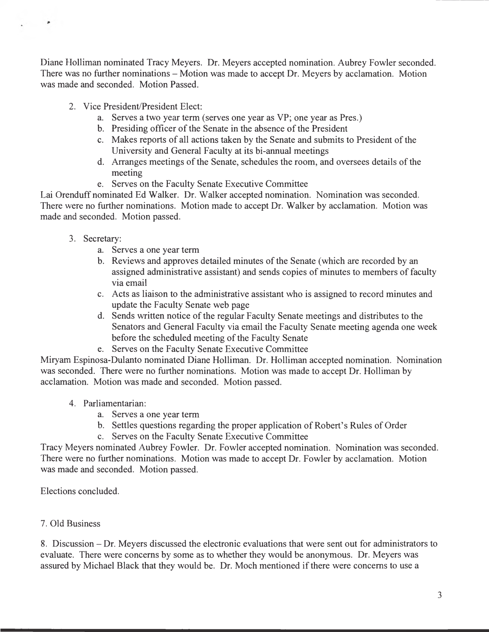Diane Holliman nominated Tracy Meyers. Dr. Meyers accepted nomination. Aubrey Fowler seconded. There was no further nominations – Motion was made to accept Dr. Meyers by acclamation. Motion was made and seconded. Motion Passed.

- 2. Vice President/President Elect:
	- a. Serves a two year term (serves one year as VP; one year as Pres.)
	- b. Presiding officer of the Senate in the absence of the President
	- c. Makes reports of all actions taken by the Senate and submits to President of the University and General Faculty at its bi-annual meetings
	- d. Arranges meetings of the Senate, schedules the room, and oversees details of the meeting
	- e. Serves on the Faculty Senate Executive Committee

Lai Orenduff nominated Ed Walker. Dr. Walker accepted nomination. Nomination was seconded. There were no further nominations. Motion made to accept Dr. Walker by acclamation. Motion was made and seconded. Motion passed.

3. Secretary:

٠

- a. Serves a one year term
- b. Reviews and approves detailed minutes of the Senate (which are recorded by an assigned administrative assistant) and sends copies of minutes to members of faculty via email
- c. Acts as liaison to the administrative assistant who is assigned to record minutes and update the Faculty Senate web page
- d. Sends written notice of the regular Faculty Senate meetings and distributes to the Senators and General Faculty via email the Faculty Senate meeting agenda one week before the scheduled meeting of the Faculty Senate
- e. Serves on the Faculty Senate Executive Committee

Miryam Espinosa-Dulanto nominated Diane Holliman. Dr. Holliman accepted nomination. Nomination was seconded. There were no further nominations. Motion was made to accept Dr. Holliman by acclamation. Motion was made and seconded. Motion passed.

#### 4. Parliamentarian:

- a. Serves a one year term
- b. Settles questions regarding the proper application of Robert's Rules of Order
- c. Serves on the Faculty Senate Executive Committee

Tracy Meyers nominated Aubrey Fowler. Dr. Fowler accepted nomination. Nomination was seconded. There were no further nominations. Motion was made to accept Dr. Fowler by acclamation. Motion was made and seconded. Motion passed.

Elections concluded.

## 7. Old Business

8. Discussion - Dr. Meyers discussed the electronic evaluations that were sent out for administrators to evaluate. There were concerns by some as to whether they would be anonymous. Dr. Meyers was assured by Michael Black that they would be. Dr. Moch mentioned if there were concerns to use a